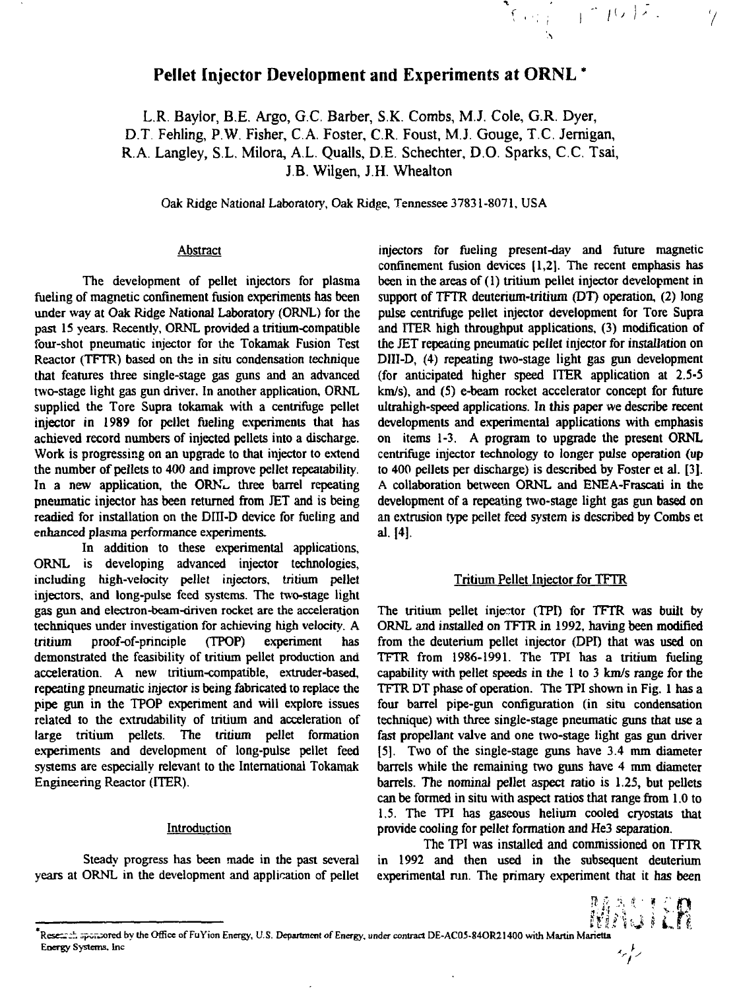# **Pellet Injector Development and Experiments at ORNL \***

L.R. Baylor, B.E. Argo, G.C. Barber, S.K. Combs, M.J. Cole, G.R. Dyer, D.T Fehling, P.W. Fisher, C.A. Foster, C.R. Foust, M.J. Gouge, T.C. Jernigan, R.A. Langley, S.L, Milora, A.L. Quails, D.E. Schechter, D.O. Sparks, C.C. Tsai, J.B. Wilgen, J.H. Whealton

Oak Ridge National Laboratory, Oak Ridge, Tennessee 37831-8071, USA

## Abstract

The development of pellet injectors for plasma fueling of magnetic confinement fusion experiments has been under way at Oak Ridge National Laboratory (ORNL) for the past 15 years. Recently, ORNL provided a tritium-compatible four-shot pneumatic injector for the Tokamak Fusion Test Reactor (TFTR) based on the in situ condensation technique that features three single-stage gas guns and an advanced two-stage light gas gun driver. In another application, ORNL supplied the Tore Supra tokamak with a centrifuge pellet injector in 1989 for pellet fueling experiments that has achieved record numbers of injected pellets into a discharge. Work is progressing on an upgrade to that injector to extend the number of pellets to 400 and improve pellet repeatability. In a new application, the ORNL three barrel repeating pneumatic injector has been returned from JET and is being readied for installation on the DIII-D device for fueling and enhanced plasma performance experiments.

In addition to these experimental applications, ORNL is developing advanced injector technologies, including high-velocity pellet injectors, tritium pellet injectors, and long-pulse feed systems. The two-stage light gas gun and electron-beam-driven rocket are the acceleration techniques under investigation for achieving high velocity. A tritium proof-of-principle (TPOP) experiment has demonstrated the feasibility of tritium pellet production and acceleration. A new tritium-compatible, extruder-based, repeating pneumatic injector is being fabricated to replace the pipe gun in the TPOP experiment and will explore issues related to the extrudability of tritium and acceleration of large tritium pellets. The tritium pellet formation experiments and development of long-pulse pellet feed systems are especially relevant to the International Tokamak Engineering Reactor (ITER).

#### **Introduction**

Steady progress has been made in the past several years at ORNL in the development and application of pellet injectors for fueling present-day and future magnetic confinement fusion devices [1,2]. The recent emphasis has been in the areas of (1) tritium pellet injector development in support of TFTR deuterium-tritium (DT) operation, (2) long pulse centrifuge pellet injector development for Tore Supra and ITER high throughput applications, (3) modification of the JET repeating pneumatic pellet injector for installation on DIII-D, (4) repeating two-stage light gas gun development (for anticipated higher speed ITER application at 2.5-5 km/s), and (5) e-beam rocket accelerator concept for future ultrahigh-speed applications. In this paper we describe recent developments and experimental applications with emphasis on items 1-3. A program to upgrade the present ORNL centrifuge injector technology to longer pulse operation (up to 400 pellets per discharge) is described by Foster et al. [3]. A collaboration between ORNL and ENEA-Frascati in the development of a repeating two-stage light gas gun based on an extrusion type pellet feed system is described by Combs et al. [4].

 $\mathcal{L}_{\text{eff}} = 1000\text{A}$ 

*7*

## Tritium Pellet Injector for TFTR

The tritium pellet injector (TPI) for TFTR was built by ORNL and installed on TFTR in 1992, having been modified from the deuterium pellet injector (DPI) that was used on TFTR from 1986-1991. The TPI has a tritium fueling capability with pellet speeds in the 1 to 3 km/s range for the TFTR DT phase of operation. The TPI shown in Fig. 1 has a four barrel pipe-gun configuration (in situ condensation technique) with three single-stage pneumatic guns that use a fast propellant valve and one two-stage light gas gun driver [5]. Two of the single-stage guns have 3.4 mm diameter barrels while the remaining two guns have 4 mm diameter barrels. The nominal pellet aspect ratio is 1.25, but pellets can be formed in situ with aspect ratios that range from 1.0 to 1.5. The TPI has gaseous helium cooled cryostats that provide cooling for pellet formation and He3 separation.

The TPI was installed and commissioned on TFTR in 1992 and then used in the subsequent deuterium experimental run. The primary experiment that it has been

*iij*a 920

ركم يرم

**Resection sports ored by the Office of FuYion Energy, U.S. Department of Energy, under contract DE-AC03-84OR21400 with Mariin Marietta Energy Systems, lnc**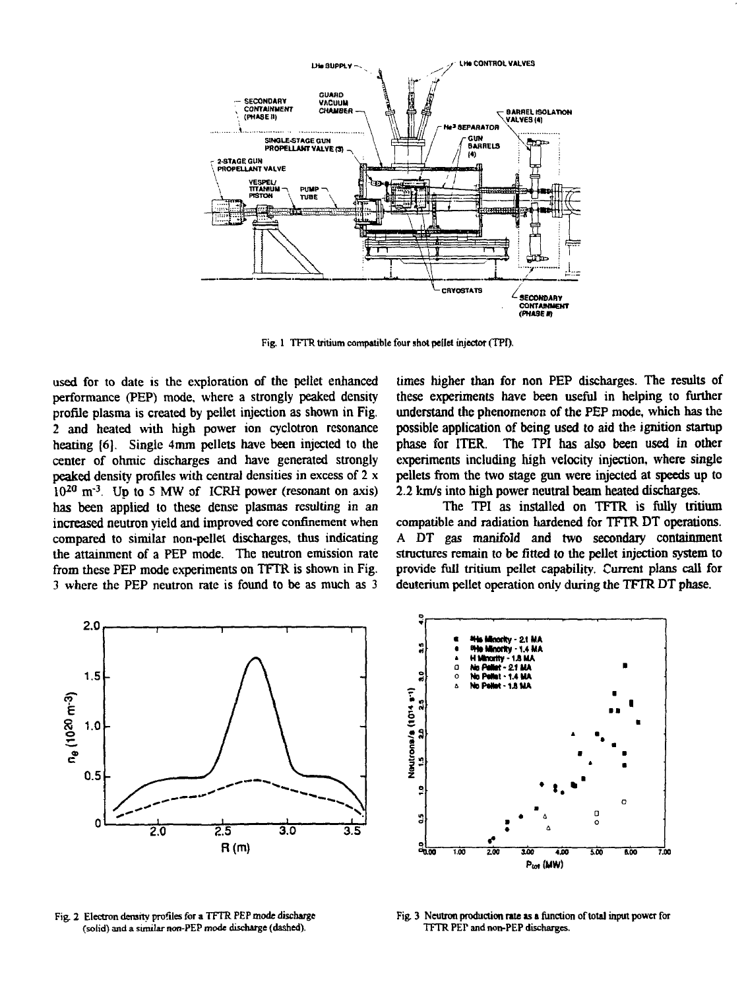

Fig. 1 TFTR tritium compatible four shot peilet injector (TPI).

used for to date is the exploration of the pellet enhanced performance (PEP) mode, where a strongly peaked density profile plasma is created by pellet injection as shown in Fig. 2 and heated with high power ion cyclotron resonance heating [6]. Single 4mm pellets have been injected to the center of ohmic discharges and have generated strongly peaked density profiles with central densities in excess of  $2 \times$  $10^{20}$  m<sup>-3</sup>. Up to 5 MW of ICRH power (resonant on axis) has been applied to these dense plasmas resulting in an increased neutron yield and improved core confinement when compared to similar non-pellet discharges, thus indicating the attainment of a PEP mode. The neutron emission rate from these PEP mode experiments on TFTR is shown in Fig. 3 where the PEP neutron rate is found to be as much as 3

times higher than for non PEP discharges. The results of these experiments have been useful in helping to further understand the phenomenon of the PEP mode, which has the possible application of being used to aid the ignition startup phase for ITER. The TPI has also been used in other experiments including high velocity injection, where single pellets from the two stage gun were injected at speeds up to 2.2 km/s into high power neutral beam heated discharges.

The TPI as installed on TFTR is fully tritium compatible and radiation hardened for TFTR DT operations. A DT gas manifold and two secondary containment structures remain to be fitted to the pellet injection system to provide full tritium pellet capability. Current plans call for deuterium pellet operation only during the TFTR DT phase.



Fig. 2 Electron density profiles for a TFTR PEP mode discharge (solid) and a similar non-PEP mode discharge (dashed).



Fig. 3 Neutron production rate as a function of total input power for TFTR PEP and non-PEP discharges.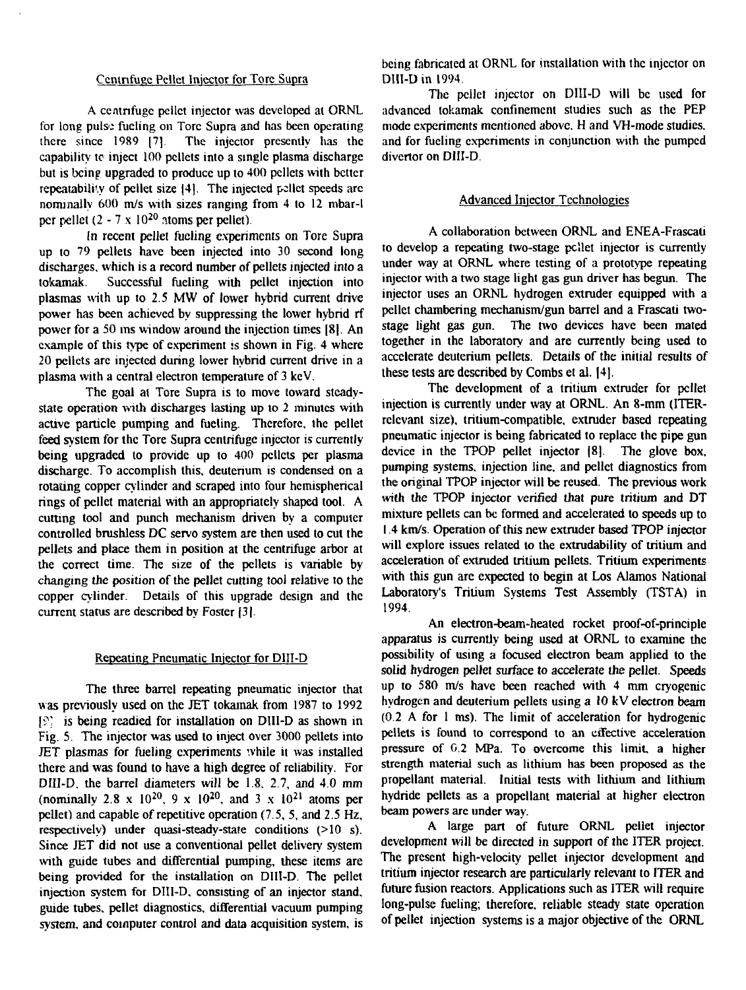## Centrifuge Pellet Injector for Tore Supra

A centrifuge pellet injector was developed at ORNL for long pulse fueling on Tore Supra and has been operating there since 1989 [7], The injector presently has the capability to inject 100 pellets into a single plasma discharge but is being upgraded to produce up to 400 pellets with better repeatability of pellet size |4], The injected pellet speeds are nominally 600 m/s with sizes ranging from 4 to 12 mbar-l per pellet  $(2 - 7 \times 10^{20} \text{ atoms per pellet})$ .

In recent pellet fueling experiments on Tore Supra up to 79 pellets have been injected into 30 second long discharges, which is a record number of pellets injected into a tokamak. Successful fueling with pellet injection into plasmas with up to 2.5 MW of lower hybrid current drive power has been achieved by suppressing the lower hybrid rf power for a 50 ms window around the injection times [8]. An example of this type of experiment is shown in Fig. 4 where 20 pellets are injected during lower hybrid current drive in a plasma with a central electron temperature of 3 keV.

The goal at Tore Supra is to move toward steadystate operation with discharges lasting up to 2 minutes with active particle pumping and fueling. Therefore, the pellet feed system for the Tore Supra centrifuge injector is currently being upgraded to provide up to 400 pellets per plasma discharge. To accomplish this, deuterium is condensed on a rotating copper cylinder and scraped into four hemispherical rings of pellet material with an appropriately shaped tool. A cutting tool and punch mechanism driven by a computer controlled brushless DC servo system are then used to cut the pellets and place them in position at the centrifuge arbor at the correct time. The size of the pellets is variable by changing the position of the pellet cutting tool relative to the copper cylinder. Details of this upgrade design and the current status are described by Foster [31.

#### Repeating Pneumatic Injector for DIH-D

The three barrel repeating pneumatic injector that was previously used on the JET tokainak from 1987 to 1992 [?' is being readied for installation on DIII-D as shown in Fig. 5. The injector was used to inject over 3000 pellets into JET plasmas for fueling experiments while it was installed there and was found to have a high degree of reliability. For DIII-D. the barrel diameters will be 1.8. 2.7, and 4.0 mm (nominally 2.8 x  $10^{20}$ , 9 x  $10^{20}$ , and 3 x  $10^{21}$  atoms per pellet) and capable of repetitive operation (7.5, 5, and 2.5 Hz, respectively) under quasi-steady-state conditions (>10 s). Since JET did not use a conventional pellet delivery system with guide tubes and differential pumping, these items are being provided for the installation on DIII-D. The pellet injection system for DIII-D, consisting of an injector stand, guide tubes, pellet diagnostics, differential vacuum pumping system, and computer control and data acquisition system, is

being fabricated at ORNL for installation with the injector on DIII-D in 1994

The pcllel injector on DIII-D will be used for advanced tokamak confinement studies such as the PEP mode experiments mentioned above. H and VH-mode studies, and for fueling experiments in conjunction with the pumped divertor on DIII-D.

# Advanced Injector Technologies

A collaboration between ORNL and ENEA-Frascati to develop a repeating two-stage pellet injector is currently under way at ORNL where testing of a prototype repeating injector with a two stage light gas gun driver has begun. The injector uses an ORNL hydrogen extruder equipped with a pellet chambering mechanism/gun barrel and a Frascati twostage light gas gun. The two devices have been mated together in the laboratory and are currently being used to accelerate deuterium pellets. Details of the initial results of these tests are described by Combs et al. |4]

The development of a tritium extruder for pellet injection is currently under way at ORNL. An 8-mm (ITERrelevant size), tritium-compatible, extruder based repeating pneumatic injector is being fabricated to replace the pipe gun device in the TPOP pellet injector |8]. The glove box, pumping systems, injection line, and pellet diagnostics from the original TPOP injector will be reused. The previous work with the TPOP injector verified that pure tritium and DT mixture pellets can be formed and accelerated to speeds up to 1.4 km/s. Operation of this new extruder based TPOP injector will explore issues related to the extrudability of tritium and acceleration of extruded tritium pellets. Tritium experiments with this gun are expected to begin at Los Alamos National Laboratory's Tritium Systems Test Assembly (TSTA) in 1994.

An electron-beam-heated rocket proof-of-principle apparatus is currently being used at ORNL to examine the possibility of using a focused electron beam applied to the solid hydrogen pellet surface to accelerate the pellet. Speeds up to 580 m/s have been reached with 4 mm cryogenic hydrogen and deuterium pellets using a 10 kV electron beam (0.2 A for 1 ms). The limit of acceleration for hydrogenic pellets is found to correspond to an effective acceleration pressure of 0.2 MPa. To overcome this limit, a higher strength material such as lithium has been proposed as the propellant material. Initial tests with lithium and lithium hydride pellets as a propellant material at higher electron beam powers are under way.

A large part of future ORNL pellet injector development will be directed in support of the ITER project. The present high-velocity pellet injector development and tritium injector research are particularly relevant to ITER and future fusion reactors. Applications such as ITER will require long-pulse fueling; therefore, reliable steady state operation of pellet injection systems is a major objective of the ORNL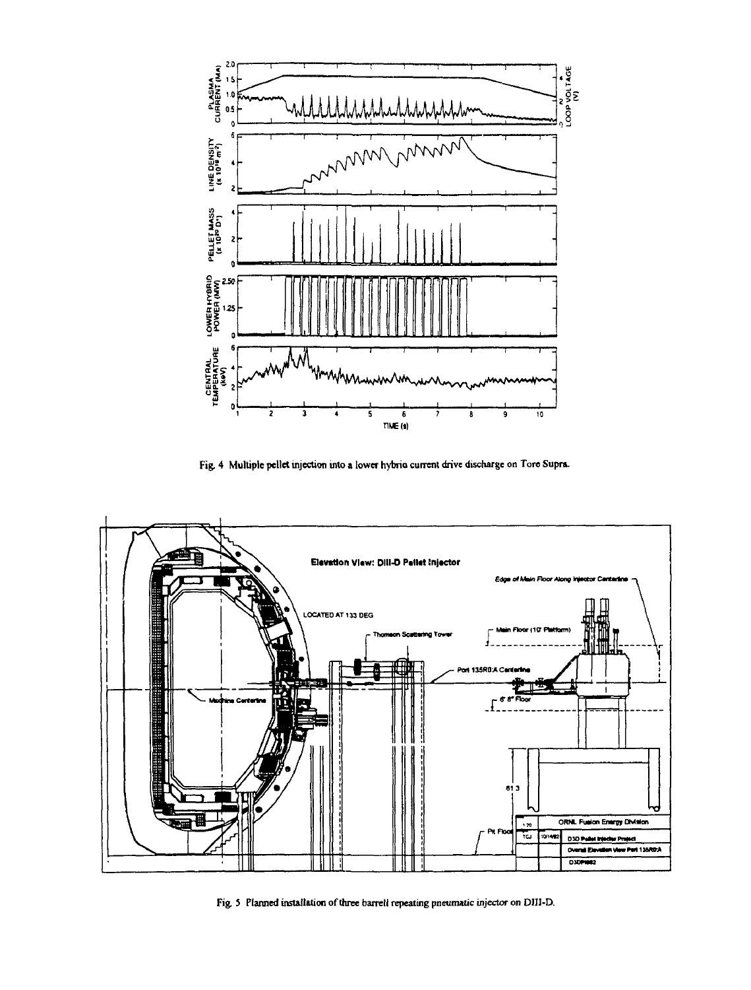

**Fig. 4 Multiple pellet injection into a lower hybria current drive discharge on Tore Supra.**



**Fig. 5 Planned installation of three barrell repeating pneumatic injector on DIII-D.**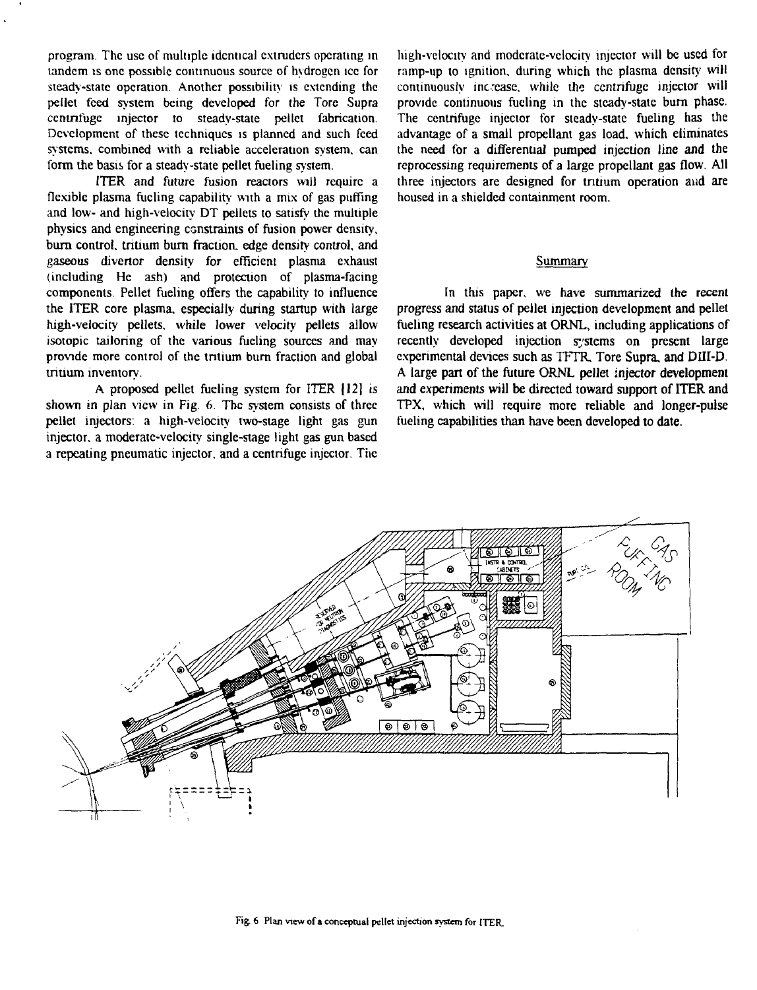program. The use of multiple identical extruders operating in tandem is one possible continuous source of hydrogen ice for steady-state operation. Another possibility is extending the pellet feed system being developed for the Tore Supra centrifuge injector 10 steady-state pellet fabrication. Development of these techniques is planned and such feed systems, combined with a reliable acceleration system, can form the basis for a steady-state pellet fueling system.

ITER and future fusion reactors will require a flexible plasma fueling capability with a mix of gas puffing and low- and high-velocity DT pellets to satisfy the multiple physics and engineering constraints of fusion power density, bum control, tritium burn fraction, edge density control, and gaseous divertor density for efficient plasma exhaust (including He ash) and protection of plasma-facing components. Pellet fueling offers the capability to influence the ITER core plasma, especially during startup with large high-velocity pellets, while lower velocity pellets allow isotopic tailoring of the various fueling sources and may provide more control of the tritium burn fraction and global tritium inventory.

A proposed pellet fueling system for ITER |12] is shown in plan view in Fig. 6. The system consists of three pellet injectors: a high-velocity two-stage light gas gun injector, a moderate-velocity single-stage light gas gun based a repeating pneumatic injector, and a centrifuge injector. The

high-velocity and moderate-velocity injector will be used for ramp-up to ignition, during which the plasma density will continuously increase, while the centrifuge injector will provide continuous fueling in the steady-state bum phase. The centrifuge injector for steady-state fueling has the advantage of a small propellant gas load, which eliminates the need for a differential pumped injection line and the reprocessing requirements of a large propellant gas flow. All three injectors are designed for tritium operation and are housed in a shielded containment room.

## Summary

In this paper, we have summarized the recent progress and status of pellet injection development and pellet fueling research activities at ORNL, including applications of recently developed injection systems on present large experimental devices such as TFTR. Tore Supra, and DIII-D. A large part of the future ORNL pellet injector development and experiments will be directed toward support of ITER and TPX, which will require more reliable and longer-pulse fueling capabilities than have been developed to date.